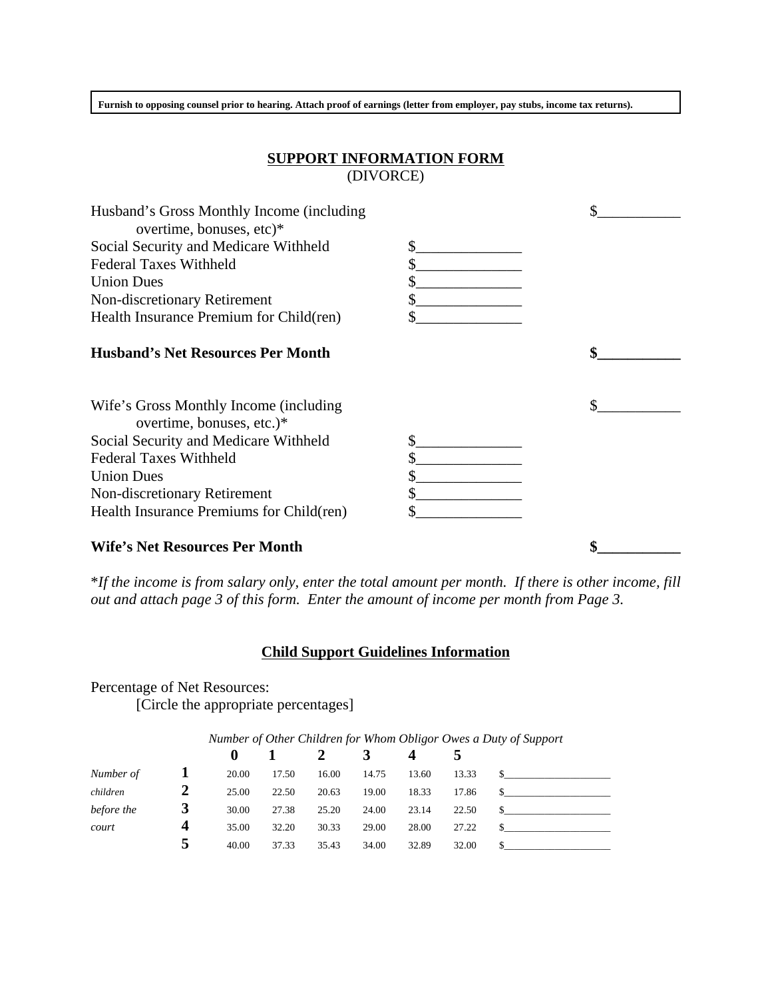**Furnish to opposing counsel prior to hearing. Attach proof of earnings (letter from employer, pay stubs, income tax returns).**

## **SUPPORT INFORMATION FORM** (DIVORCE)

| Husband's Gross Monthly Income (including                           |    |  |
|---------------------------------------------------------------------|----|--|
| overtime, bonuses, etc)*                                            |    |  |
| Social Security and Medicare Withheld                               | \$ |  |
| <b>Federal Taxes Withheld</b>                                       | \$ |  |
| <b>Union Dues</b>                                                   |    |  |
| Non-discretionary Retirement                                        |    |  |
| Health Insurance Premium for Child(ren)                             |    |  |
| <b>Husband's Net Resources Per Month</b>                            |    |  |
| Wife's Gross Monthly Income (including<br>overtime, bonuses, etc.)* |    |  |
| Social Security and Medicare Withheld                               | \$ |  |
| <b>Federal Taxes Withheld</b>                                       |    |  |
| <b>Union Dues</b>                                                   |    |  |
| Non-discretionary Retirement                                        |    |  |
|                                                                     |    |  |
| Health Insurance Premiums for Child(ren)                            |    |  |
| <b>Wife's Net Resources Per Month</b>                               |    |  |

\**If the income is from salary only, enter the total amount per month. If there is other income, fill out and attach page 3 of this form. Enter the amount of income per month from Page 3.*

## **Child Support Guidelines Information**

Percentage of Net Resources: [Circle the appropriate percentages]

|            | Number of Other Children for Whom Obligor Owes a Duty of Support |          |       |       |       |       |       |  |
|------------|------------------------------------------------------------------|----------|-------|-------|-------|-------|-------|--|
|            |                                                                  | $\bf{0}$ |       |       |       |       |       |  |
| Number of  |                                                                  | 20.00    | 17.50 | 16.00 | 14.75 | 13.60 | 13.33 |  |
| children   |                                                                  | 25.00    | 22.50 | 20.63 | 19.00 | 18.33 | 17.86 |  |
| before the | 3                                                                | 30.00    | 27.38 | 25.20 | 24.00 | 23.14 | 22.50 |  |
| court      | 4                                                                | 35.00    | 32.20 | 30.33 | 29.00 | 28.00 | 27.22 |  |
|            |                                                                  | 40.00    | 37.33 | 35.43 | 34.00 | 32.89 | 32.00 |  |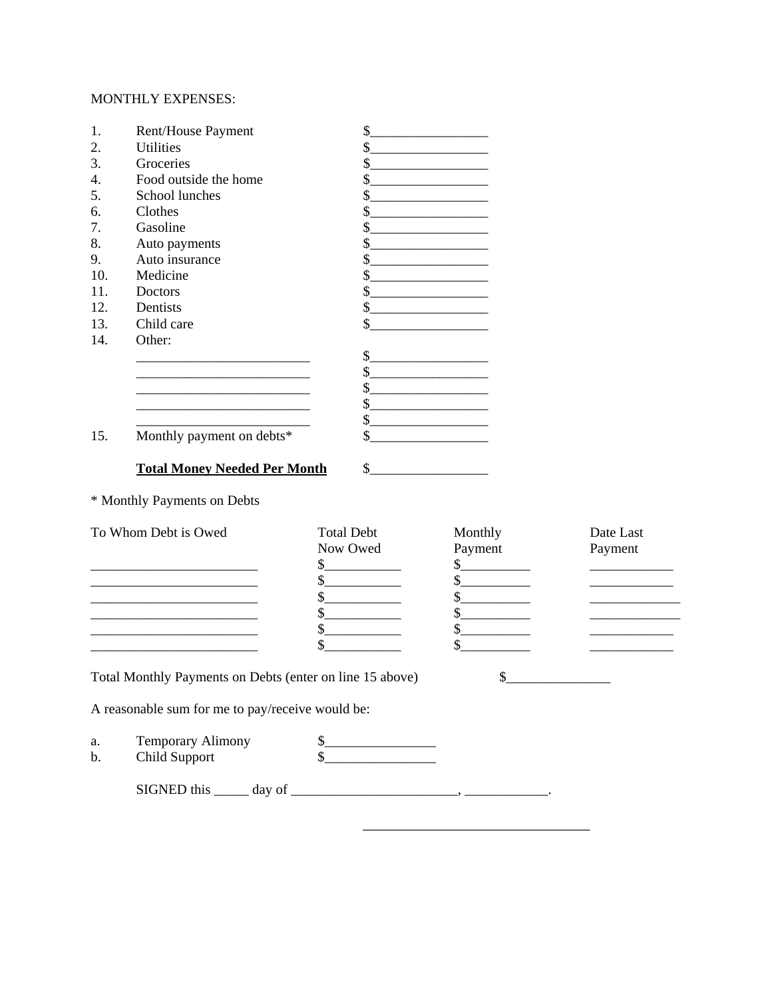## MONTHLY EXPENSES:

| $\mathbf{1}$ .<br>Rent/House Payment | \$                                                           |  |  |
|--------------------------------------|--------------------------------------------------------------|--|--|
| 2.<br><b>Utilities</b>               | \$                                                           |  |  |
| 3.<br>Groceries                      | \$                                                           |  |  |
| 4.<br>Food outside the home          | \$                                                           |  |  |
| School lunches<br>5.                 | \$                                                           |  |  |
| 6.<br>Clothes                        | \$                                                           |  |  |
| Gasoline<br>7.                       | \$                                                           |  |  |
| 8.<br>Auto payments                  | \$                                                           |  |  |
| Auto insurance<br>9.                 | \$                                                           |  |  |
| 10.<br>Medicine                      | \$                                                           |  |  |
| 11.<br>Doctors                       | \$                                                           |  |  |
| 12.<br>Dentists                      | \$                                                           |  |  |
| Child care<br>13.                    | \$                                                           |  |  |
| 14.<br>Other:                        |                                                              |  |  |
|                                      | \$                                                           |  |  |
|                                      | \$                                                           |  |  |
|                                      | \$                                                           |  |  |
|                                      | \$                                                           |  |  |
|                                      | $\mathbb{S}$<br>the control of the control of the control of |  |  |
| Monthly payment on debts*<br>15.     | \$                                                           |  |  |
|                                      |                                                              |  |  |
| <b>Total Money Needed Per Month</b>  | $\mathbb{S}$                                                 |  |  |
| * Monthly Payments on Debts          |                                                              |  |  |

| To Whom Debt is Owed                                                                                                                                                                                                              | <b>Total Debt</b> | Monthly        | Date Last |
|-----------------------------------------------------------------------------------------------------------------------------------------------------------------------------------------------------------------------------------|-------------------|----------------|-----------|
|                                                                                                                                                                                                                                   | Now Owed          | Payment        | Payment   |
|                                                                                                                                                                                                                                   |                   |                |           |
|                                                                                                                                                                                                                                   |                   |                |           |
|                                                                                                                                                                                                                                   |                   |                |           |
|                                                                                                                                                                                                                                   |                   |                |           |
|                                                                                                                                                                                                                                   |                   |                |           |
|                                                                                                                                                                                                                                   |                   |                |           |
|                                                                                                                                                                                                                                   |                   |                |           |
| $\mathbf{r}$ , and the contract of the contract of the contract of the contract of the contract of the contract of the contract of the contract of the contract of the contract of the contract of the contract of the contract o |                   | $\overline{a}$ |           |

\_\_\_\_\_\_\_\_\_\_\_\_\_\_\_\_\_\_\_\_\_\_\_\_\_\_\_\_\_\_

Total Monthly Payments on Debts (enter on line 15 above) \$\_\_\_\_\_\_\_\_\_\_\_\_\_\_\_\_\_\_\_\_\_\_

A reasonable sum for me to pay/receive would be:

| а.<br>b. | Temporary Alimony<br>Child Support |  |
|----------|------------------------------------|--|
|          | SIGNED this<br>day of              |  |